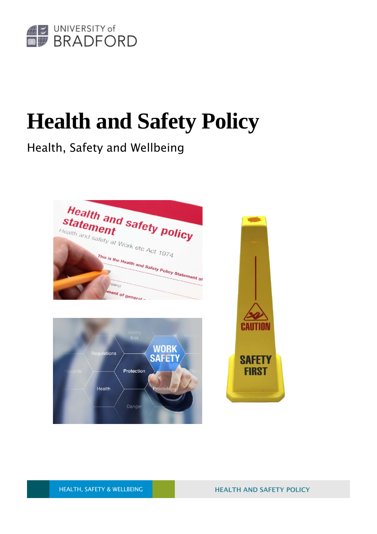

# **Health and Safety Policy**

## Health, Safety and Wellbeing

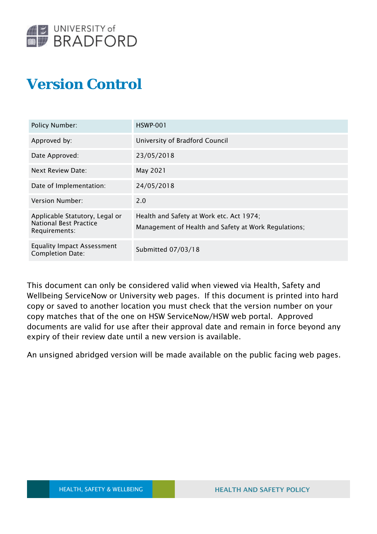

# **Version Control**

| Policy Number:                                                                   | <b>HSWP-001</b>                                                                                  |
|----------------------------------------------------------------------------------|--------------------------------------------------------------------------------------------------|
| Approved by:                                                                     | University of Bradford Council                                                                   |
| Date Approved:                                                                   | 23/05/2018                                                                                       |
| Next Review Date:                                                                | May 2021                                                                                         |
| Date of Implementation:                                                          | 24/05/2018                                                                                       |
| Version Number:                                                                  | 2.0                                                                                              |
| Applicable Statutory, Legal or<br><b>National Best Practice</b><br>Requirements: | Health and Safety at Work etc. Act 1974;<br>Management of Health and Safety at Work Regulations; |
| <b>Equality Impact Assessment</b><br><b>Completion Date:</b>                     | Submitted 07/03/18                                                                               |

This document can only be considered valid when viewed via Health, Safety and Wellbeing ServiceNow or University web pages. If this document is printed into hard copy or saved to another location you must check that the version number on your copy matches that of the one on HSW ServiceNow/HSW web portal. Approved documents are valid for use after their approval date and remain in force beyond any expiry of their review date until a new version is available.

An unsigned abridged version will be made available on the public facing web pages.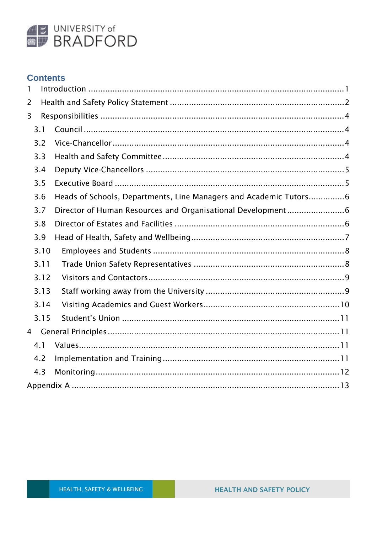

#### **Contents**

| 1 |      |                                                                   |  |
|---|------|-------------------------------------------------------------------|--|
| 2 |      |                                                                   |  |
| 3 |      |                                                                   |  |
|   | 3.1  |                                                                   |  |
|   | 3.2  |                                                                   |  |
|   | 3.3  |                                                                   |  |
|   | 3.4  |                                                                   |  |
|   | 3.5  |                                                                   |  |
|   | 3.6  | Heads of Schools, Departments, Line Managers and Academic Tutors6 |  |
|   | 3.7  |                                                                   |  |
|   | 3.8  |                                                                   |  |
|   | 3.9  |                                                                   |  |
|   | 3.10 |                                                                   |  |
|   | 3.11 |                                                                   |  |
|   | 3.12 |                                                                   |  |
|   | 3.13 |                                                                   |  |
|   | 3.14 |                                                                   |  |
|   | 3.15 |                                                                   |  |
|   | 4    |                                                                   |  |
|   | 4.1  |                                                                   |  |
|   | 4.2  |                                                                   |  |
|   | 4.3  |                                                                   |  |
|   |      |                                                                   |  |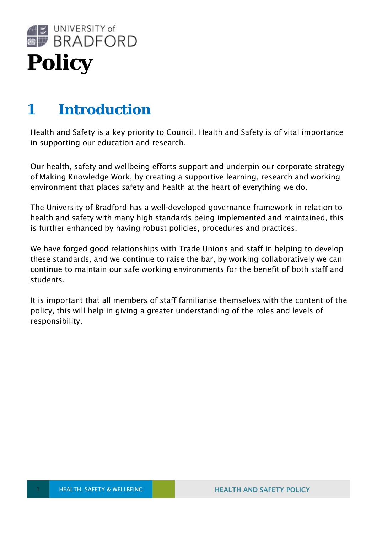

## **1 Introduction**

Health and Safety is a key priority to Council. Health and Safety is of vital importance in supporting our education and research.

Our health, safety and wellbeing efforts support and underpin our corporate strategy of Making Knowledge Work, by creating a supportive learning, research and working environment that places safety and health at the heart of everything we do.

The University of Bradford has a well-developed governance framework in relation to health and safety with many high standards being implemented and maintained, this is further enhanced by having robust policies, procedures and practices.

We have forged good relationships with Trade Unions and staff in helping to develop these standards, and we continue to raise the bar, by working collaboratively we can continue to maintain our safe working environments for the benefit of both staff and students.

It is important that all members of staff familiarise themselves with the content of the policy, this will help in giving a greater understanding of the roles and levels of responsibility.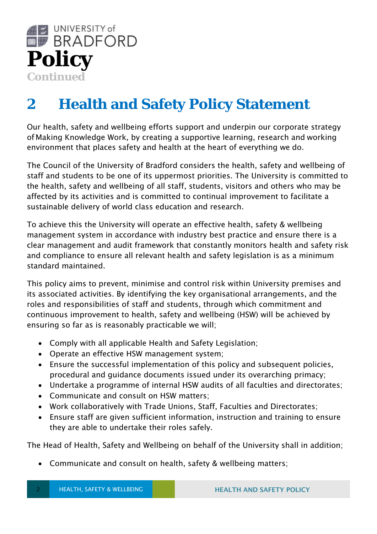

## **2 Health and Safety Policy Statement**

Our health, safety and wellbeing efforts support and underpin our corporate strategy of Making Knowledge Work, by creating a supportive learning, research and working environment that places safety and health at the heart of everything we do.

The Council of the University of Bradford considers the health, safety and wellbeing of staff and students to be one of its uppermost priorities. The University is committed to the health, safety and wellbeing of all staff, students, visitors and others who may be affected by its activities and is committed to continual improvement to facilitate a sustainable delivery of world class education and research.

To achieve this the University will operate an effective health, safety & wellbeing management system in accordance with industry best practice and ensure there is a clear management and audit framework that constantly monitors health and safety risk and compliance to ensure all relevant health and safety legislation is as a minimum standard maintained.

This policy aims to prevent, minimise and control risk within University premises and its associated activities. By identifying the key organisational arrangements, and the roles and responsibilities of staff and students, through which commitment and continuous improvement to health, safety and wellbeing (HSW) will be achieved by ensuring so far as is reasonably practicable we will;

- Comply with all applicable Health and Safety Legislation;
- Operate an effective HSW management system;
- Ensure the successful implementation of this policy and subsequent policies, procedural and guidance documents issued under its overarching primacy;
- Undertake a programme of internal HSW audits of all faculties and directorates;
- Communicate and consult on HSW matters;
- Work collaboratively with Trade Unions, Staff, Faculties and Directorates;
- Ensure staff are given sufficient information, instruction and training to ensure they are able to undertake their roles safely.

The Head of Health, Safety and Wellbeing on behalf of the University shall in addition;

Communicate and consult on health, safety & wellbeing matters;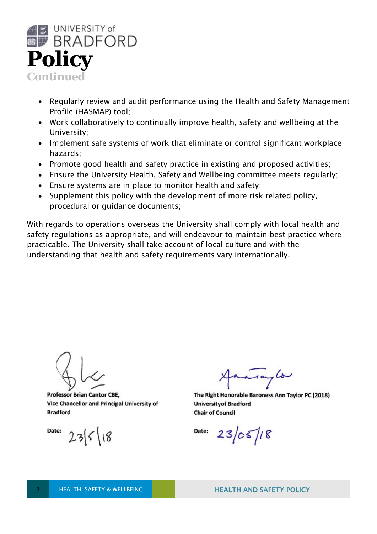

- Regularly review and audit performance using the Health and Safety Management Profile (HASMAP) tool;
- Work collaboratively to continually improve health, safety and wellbeing at the University;
- Implement safe systems of work that eliminate or control significant workplace hazards;
- Promote good health and safety practice in existing and proposed activities;
- Ensure the University Health, Safety and Wellbeing committee meets regularly;
- Ensure systems are in place to monitor health and safety;
- Supplement this policy with the development of more risk related policy, procedural or guidance documents;

With regards to operations overseas the University shall comply with local health and safety regulations as appropriate, and will endeavour to maintain best practice where practicable. The University shall take account of local culture and with the understanding that health and safety requirements vary internationally.

**Professor Brian Cantor CBE,** Vice Chancellor and Principal University of **Bradford** 

Date:  $235/18$ 

 $\frac{1}{4}$ 

The Right Honorable Baroness Ann Taylor PC (2018) **University of Bradford Chair of Council** 

Date:  $23/05/18$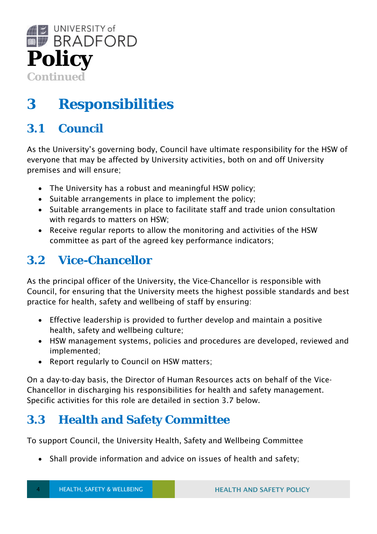

## **3 Responsibilities**

#### **3.1 Council**

As the University's governing body, Council have ultimate responsibility for the HSW of everyone that may be affected by University activities, both on and off University premises and will ensure;

- The University has a robust and meaningful HSW policy;
- Suitable arrangements in place to implement the policy;
- Suitable arrangements in place to facilitate staff and trade union consultation with regards to matters on HSW;
- Receive regular reports to allow the monitoring and activities of the HSW committee as part of the agreed key performance indicators;

#### **3.2 Vice-Chancellor**

As the principal officer of the University, the Vice-Chancellor is responsible with Council, for ensuring that the University meets the highest possible standards and best practice for health, safety and wellbeing of staff by ensuring:

- Effective leadership is provided to further develop and maintain a positive health, safety and wellbeing culture;
- HSW management systems, policies and procedures are developed, reviewed and implemented;
- Report regularly to Council on HSW matters;

On a day-to-day basis, the Director of Human Resources acts on behalf of the Vice-Chancellor in discharging his responsibilities for health and safety management. Specific activities for this role are detailed in section 3.7 below.

#### **3.3 Health and Safety Committee**

To support Council, the University Health, Safety and Wellbeing Committee

• Shall provide information and advice on issues of health and safety;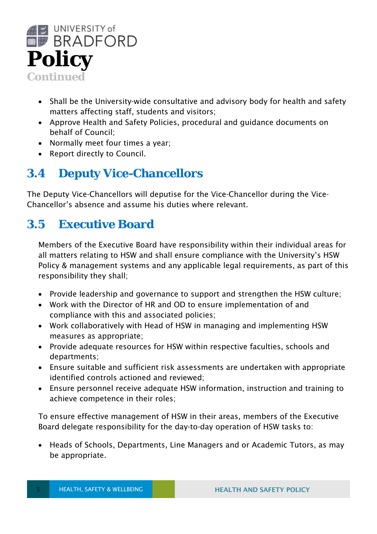

- Shall be the University-wide consultative and advisory body for health and safety matters affecting staff, students and visitors;
- Approve Health and Safety Policies, procedural and guidance documents on behalf of Council;
- Normally meet four times a year;
- Report directly to Council.

#### **3.4 Deputy Vice-Chancellors**

The Deputy Vice-Chancellors will deputise for the Vice-Chancellor during the Vice-Chancellor's absence and assume his duties where relevant.

#### **3.5 Executive Board**

Members of the Executive Board have responsibility within their individual areas for all matters relating to HSW and shall ensure compliance with the University's HSW Policy & management systems and any applicable legal requirements, as part of this responsibility they shall;

- Provide leadership and governance to support and strengthen the HSW culture;
- Work with the Director of HR and OD to ensure implementation of and compliance with this and associated policies;
- Work collaboratively with Head of HSW in managing and implementing HSW measures as appropriate;
- Provide adequate resources for HSW within respective faculties, schools and departments;
- Ensure suitable and sufficient risk assessments are undertaken with appropriate identified controls actioned and reviewed;
- Ensure personnel receive adequate HSW information, instruction and training to achieve competence in their roles;

To ensure effective management of HSW in their areas, members of the Executive Board delegate responsibility for the day-to-day operation of HSW tasks to:

 Heads of Schools, Departments, Line Managers and or Academic Tutors, as may be appropriate.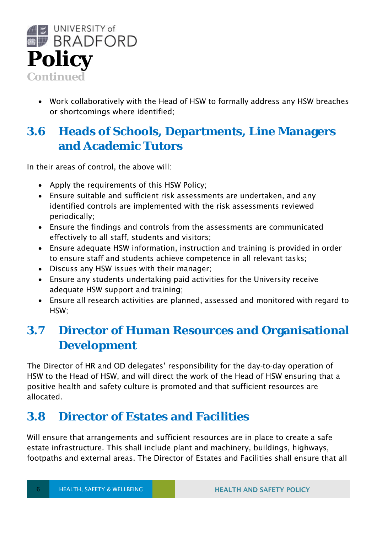

 Work collaboratively with the Head of HSW to formally address any HSW breaches or shortcomings where identified;

#### **3.6 Heads of Schools, Departments, Line Managers and Academic Tutors**

In their areas of control, the above will:

- Apply the requirements of this HSW Policy;
- Ensure suitable and sufficient risk assessments are undertaken, and any identified controls are implemented with the risk assessments reviewed periodically;
- Ensure the findings and controls from the assessments are communicated effectively to all staff, students and visitors;
- Ensure adequate HSW information, instruction and training is provided in order to ensure staff and students achieve competence in all relevant tasks;
- Discuss any HSW issues with their manager;
- Ensure any students undertaking paid activities for the University receive adequate HSW support and training;
- Ensure all research activities are planned, assessed and monitored with regard to HSW;

#### **3.7 Director of Human Resources and Organisational Development**

The Director of HR and OD delegates' responsibility for the day-to-day operation of HSW to the Head of HSW, and will direct the work of the Head of HSW ensuring that a positive health and safety culture is promoted and that sufficient resources are allocated.

#### **3.8 Director of Estates and Facilities**

Will ensure that arrangements and sufficient resources are in place to create a safe estate infrastructure. This shall include plant and machinery, buildings, highways, footpaths and external areas. The Director of Estates and Facilities shall ensure that all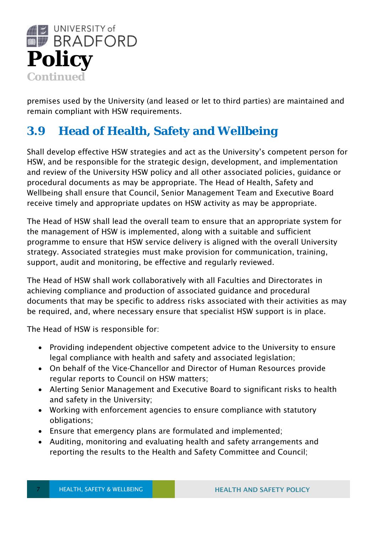

premises used by the University (and leased or let to third parties) are maintained and remain compliant with HSW requirements.

#### **3.9 Head of Health, Safety and Wellbeing**

Shall develop effective HSW strategies and act as the University's competent person for HSW, and be responsible for the strategic design, development, and implementation and review of the University HSW policy and all other associated policies, guidance or procedural documents as may be appropriate. The Head of Health, Safety and Wellbeing shall ensure that Council, Senior Management Team and Executive Board receive timely and appropriate updates on HSW activity as may be appropriate.

The Head of HSW shall lead the overall team to ensure that an appropriate system for the management of HSW is implemented, along with a suitable and sufficient programme to ensure that HSW service delivery is aligned with the overall University strategy. Associated strategies must make provision for communication, training, support, audit and monitoring, be effective and regularly reviewed.

The Head of HSW shall work collaboratively with all Faculties and Directorates in achieving compliance and production of associated guidance and procedural documents that may be specific to address risks associated with their activities as may be required, and, where necessary ensure that specialist HSW support is in place.

The Head of HSW is responsible for:

- Providing independent objective competent advice to the University to ensure legal compliance with health and safety and associated legislation;
- On behalf of the Vice-Chancellor and Director of Human Resources provide regular reports to Council on HSW matters;
- Alerting Senior Management and Executive Board to significant risks to health and safety in the University;
- Working with enforcement agencies to ensure compliance with statutory obligations;
- Ensure that emergency plans are formulated and implemented;
- Auditing, monitoring and evaluating health and safety arrangements and reporting the results to the Health and Safety Committee and Council;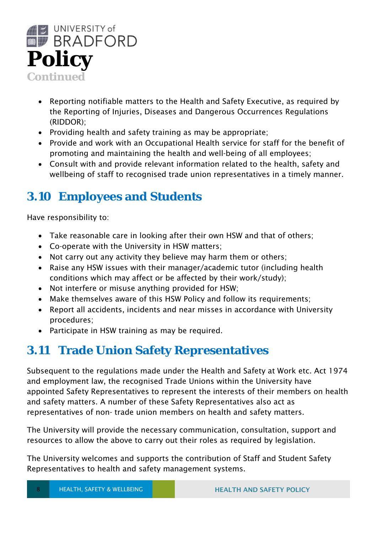

- Reporting notifiable matters to the Health and Safety Executive, as required by the Reporting of Injuries, Diseases and Dangerous Occurrences Regulations (RIDDOR);
- Providing health and safety training as may be appropriate;
- Provide and work with an Occupational Health service for staff for the benefit of promoting and maintaining the health and well-being of all employees;
- Consult with and provide relevant information related to the health, safety and wellbeing of staff to recognised trade union representatives in a timely manner.

### **3.10 Employees and Students**

Have responsibility to:

- Take reasonable care in looking after their own HSW and that of others;
- Co-operate with the University in HSW matters;
- Not carry out any activity they believe may harm them or others;
- Raise any HSW issues with their manager/academic tutor (including health conditions which may affect or be affected by their work/study);
- Not interfere or misuse anything provided for HSW;
- Make themselves aware of this HSW Policy and follow its requirements;
- Report all accidents, incidents and near misses in accordance with University procedures;
- Participate in HSW training as may be required.

#### **3.11 Trade Union Safety Representatives**

Subsequent to the regulations made under the Health and Safety at Work etc. Act 1974 and employment law, the recognised Trade Unions within the University have appointed Safety Representatives to represent the interests of their members on health and safety matters. A number of these Safety Representatives also act as representatives of non- trade union members on health and safety matters.

The University will provide the necessary communication, consultation, support and resources to allow the above to carry out their roles as required by legislation.

The University welcomes and supports the contribution of Staff and Student Safety Representatives to health and safety management systems.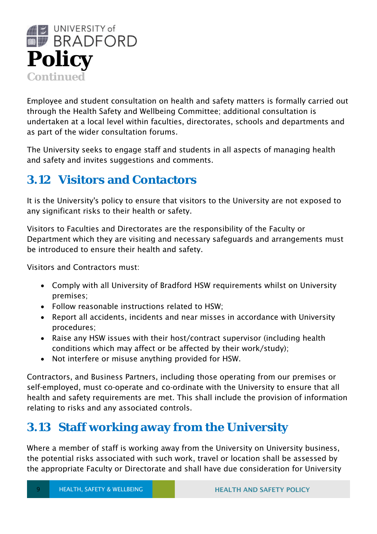

Employee and student consultation on health and safety matters is formally carried out through the Health Safety and Wellbeing Committee; additional consultation is undertaken at a local level within faculties, directorates, schools and departments and as part of the wider consultation forums.

The University seeks to engage staff and students in all aspects of managing health and safety and invites suggestions and comments.

#### **3.12 Visitors and Contactors**

It is the University's policy to ensure that visitors to the University are not exposed to any significant risks to their health or safety.

Visitors to Faculties and Directorates are the responsibility of the Faculty or Department which they are visiting and necessary safeguards and arrangements must be introduced to ensure their health and safety.

Visitors and Contractors must:

- Comply with all University of Bradford HSW requirements whilst on University premises;
- Follow reasonable instructions related to HSW;
- Report all accidents, incidents and near misses in accordance with University procedures;
- Raise any HSW issues with their host/contract supervisor (including health conditions which may affect or be affected by their work/study);
- Not interfere or misuse anything provided for HSW.

Contractors, and Business Partners, including those operating from our premises or self-employed, must co-operate and co-ordinate with the University to ensure that all health and safety requirements are met. This shall include the provision of information relating to risks and any associated controls.

#### **3.13 Staff working away from the University**

Where a member of staff is working away from the University on University business, the potential risks associated with such work, travel or location shall be assessed by the appropriate Faculty or Directorate and shall have due consideration for University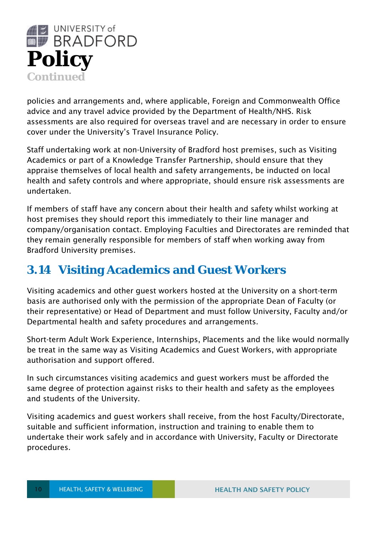

policies and arrangements and, where applicable, Foreign and Commonwealth Office advice and any travel advice provided by the Department of Health/NHS. Risk assessments are also required for overseas travel and are necessary in order to ensure cover under the University's Travel Insurance Policy.

Staff undertaking work at non-University of Bradford host premises, such as Visiting Academics or part of a Knowledge Transfer Partnership, should ensure that they appraise themselves of local health and safety arrangements, be inducted on local health and safety controls and where appropriate, should ensure risk assessments are undertaken.

If members of staff have any concern about their health and safety whilst working at host premises they should report this immediately to their line manager and company/organisation contact. Employing Faculties and Directorates are reminded that they remain generally responsible for members of staff when working away from Bradford University premises.

#### **3.14 Visiting Academics and Guest Workers**

Visiting academics and other guest workers hosted at the University on a short-term basis are authorised only with the permission of the appropriate Dean of Faculty (or their representative) or Head of Department and must follow University, Faculty and/or Departmental health and safety procedures and arrangements.

Short-term Adult Work Experience, Internships, Placements and the like would normally be treat in the same way as Visiting Academics and Guest Workers, with appropriate authorisation and support offered.

In such circumstances visiting academics and guest workers must be afforded the same degree of protection against risks to their health and safety as the employees and students of the University.

Visiting academics and guest workers shall receive, from the host Faculty/Directorate, suitable and sufficient information, instruction and training to enable them to undertake their work safely and in accordance with University, Faculty or Directorate procedures.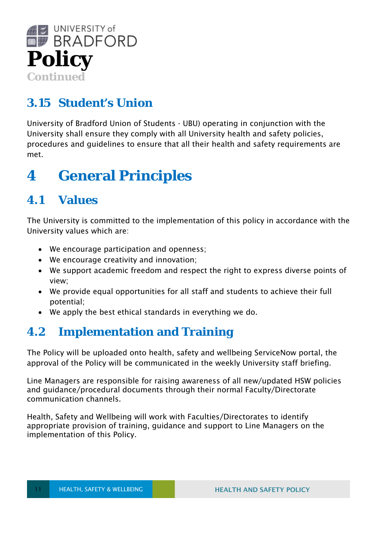

#### **3.15 Student's Union**

University of Bradford Union of Students - UBU) operating in conjunction with the University shall ensure they comply with all University health and safety policies, procedures and guidelines to ensure that all their health and safety requirements are met.

## **4 General Principles**

#### **4.1 Values**

The University is committed to the implementation of this policy in accordance with the University values which are:

- We encourage participation and openness;
- We encourage creativity and innovation;
- We support academic freedom and respect the right to express diverse points of view;
- We provide equal opportunities for all staff and students to achieve their full potential;
- We apply the best ethical standards in everything we do.

#### **4.2 Implementation and Training**

The Policy will be uploaded onto health, safety and wellbeing ServiceNow portal, the approval of the Policy will be communicated in the weekly University staff briefing.

Line Managers are responsible for raising awareness of all new/updated HSW policies and guidance/procedural documents through their normal Faculty/Directorate communication channels.

Health, Safety and Wellbeing will work with Faculties/Directorates to identify appropriate provision of training, guidance and support to Line Managers on the implementation of this Policy.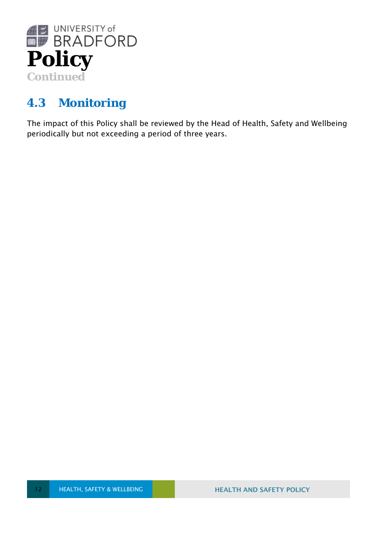

#### **4.3 Monitoring**

The impact of this Policy shall be reviewed by the Head of Health, Safety and Wellbeing periodically but not exceeding a period of three years.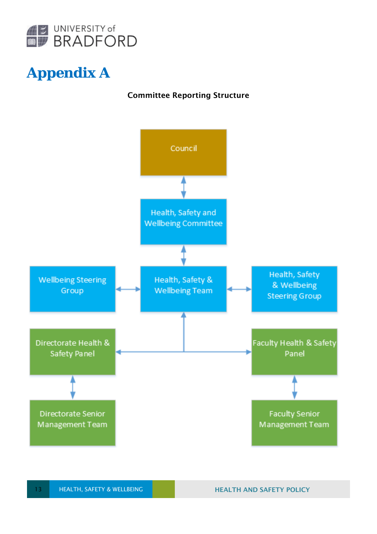

## **Appendix A**

#### Committee Reporting Structure